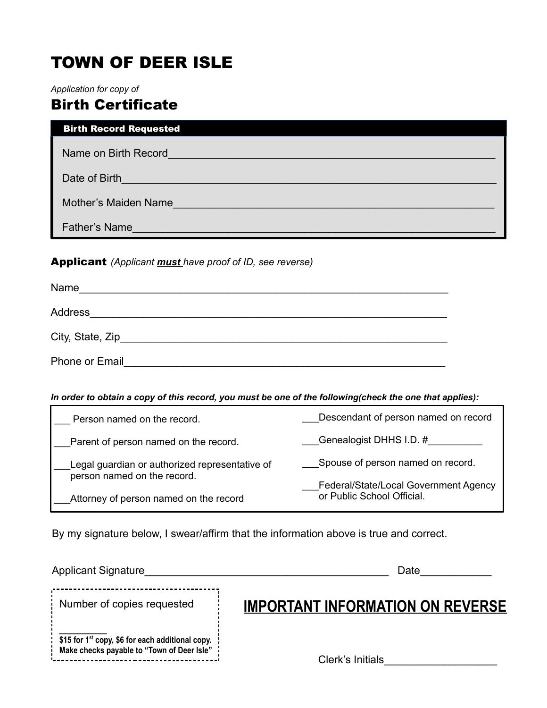# TOWN OF DEER ISLE

*Application for copy of*

# Birth Certificate

| <b>Birth Record Requested</b>                                                  |
|--------------------------------------------------------------------------------|
| Name on Birth Record                                                           |
| Date of Birth <b>Exercise Contract of Birth</b>                                |
| Mother's Maiden Name                                                           |
| <b>Father's Name</b><br><u> 1989 - Johann Stoff, fransk politiker (* 1908)</u> |
|                                                                                |

#### Applicant *(Applicant must have proof of ID, see reverse)*

| Name                  |  |  |
|-----------------------|--|--|
| Address               |  |  |
| City, State, Zip___   |  |  |
| <b>Phone or Email</b> |  |  |

#### *In order to obtain a copy of this record, you must be one of the following(check the one that applies):*

| Person named on the record.                                                   | Descendant of person named on record  |  |
|-------------------------------------------------------------------------------|---------------------------------------|--|
| Parent of person named on the record.                                         | Genealogist DHHS I.D. #               |  |
| Legal guardian or authorized representative of<br>person named on the record. | Spouse of person named on record.     |  |
|                                                                               | Federal/State/Local Government Agency |  |
| Attorney of person named on the record                                        | or Public School Official.            |  |

By my signature below, I swear/affirm that the information above is true and correct.

| <b>Applicant Signature</b>                                                                                               | Date                                    |
|--------------------------------------------------------------------------------------------------------------------------|-----------------------------------------|
| Number of copies requested                                                                                               | <b>IMPORTANT INFORMATION ON REVERSE</b> |
| $\frac{1}{2}$ \$15 for 1 <sup>st</sup> copy, \$6 for each additional copy.<br>Make checks payable to "Town of Deer Isle" | Clerk's Initials                        |